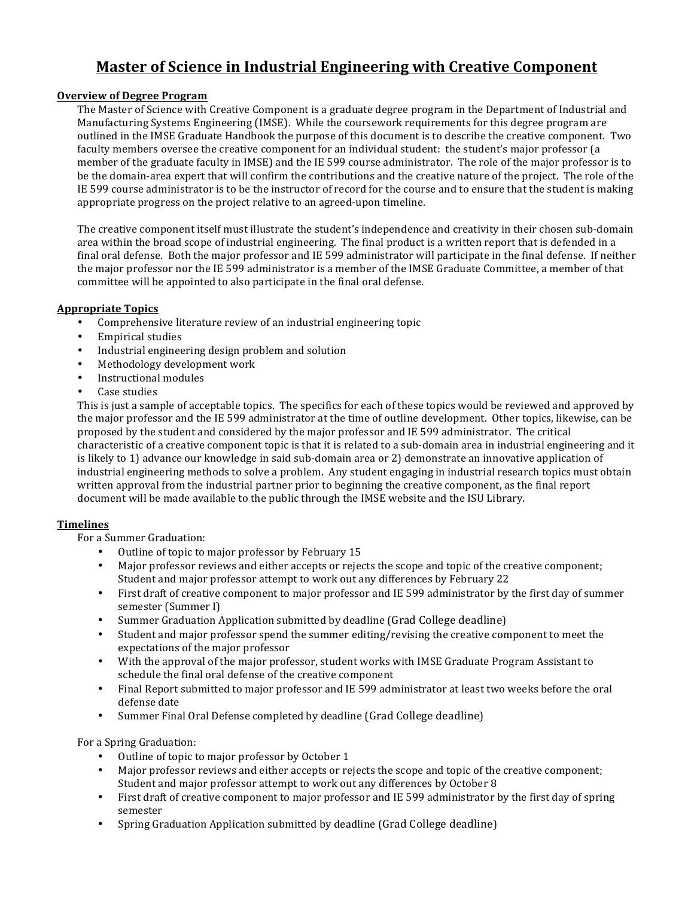# **Master of Science in Industrial Engineering with Creative Component**

## **Overview of Degree Program**

The Master of Science with Creative Component is a graduate degree program in the Department of Industrial and Manufacturing Systems Engineering (IMSE). While the coursework requirements for this degree program are outlined in the IMSE Graduate Handbook the purpose of this document is to describe the creative component. Two faculty members oversee the creative component for an individual student: the student's major professor (a member of the graduate faculty in IMSE) and the IE 599 course administrator. The role of the major professor is to be the domain-area expert that will confirm the contributions and the creative nature of the project. The role of the IE 599 course administrator is to be the instructor of record for the course and to ensure that the student is making appropriate progress on the project relative to an agreed-upon timeline.

The creative component itself must illustrate the student's independence and creativity in their chosen sub-domain area within the broad scope of industrial engineering. The final product is a written report that is defended in a final oral defense. Both the major professor and IE 599 administrator will participate in the final defense. If neither the major professor nor the IE 599 administrator is a member of the IMSE Graduate Committee, a member of that committee will be appointed to also participate in the final oral defense.

## **Appropriate Topics**

- Comprehensive literature review of an industrial engineering topic
- **Empirical studies**
- Industrial engineering design problem and solution
- Methodology development work
- Instructional modules
- Case studies

This is just a sample of acceptable topics. The specifics for each of these topics would be reviewed and approved by the major professor and the IE 599 administrator at the time of outline development. Other topics, likewise, can be proposed by the student and considered by the major professor and IE 599 administrator. The critical characteristic of a creative component topic is that it is related to a sub-domain area in industrial engineering and it is likely to 1) advance our knowledge in said sub-domain area or 2) demonstrate an innovative application of industrial engineering methods to solve a problem. Any student engaging in industrial research topics must obtain written approval from the industrial partner prior to beginning the creative component, as the final report document will be made available to the public through the IMSE website and the ISU Library.

### **Timelines**

For a Summer Graduation:

- Outline of topic to major professor by February 15
- Major professor reviews and either accepts or rejects the scope and topic of the creative component; Student and major professor attempt to work out any differences by February 22
- First draft of creative component to major professor and IE 599 administrator by the first day of summer semester (Summer I)
- Summer Graduation Application submitted by deadline (Grad College deadline)
- Student and major professor spend the summer editing/revising the creative component to meet the expectations of the major professor
- With the approval of the major professor, student works with IMSE Graduate Program Assistant to schedule the final oral defense of the creative component
- Final Report submitted to major professor and IE 599 administrator at least two weeks before the oral defense date
- Summer Final Oral Defense completed by deadline (Grad College deadline)

For a Spring Graduation:

- Outline of topic to major professor by October 1
- Major professor reviews and either accepts or rejects the scope and topic of the creative component; Student and major professor attempt to work out any differences by October 8
- First draft of creative component to major professor and IE 599 administrator by the first day of spring semester
- Spring Graduation Application submitted by deadline (Grad College deadline)